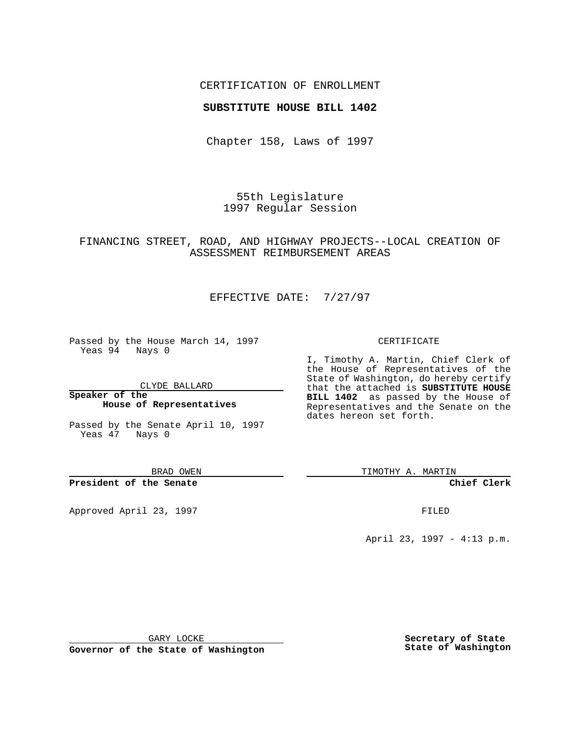### CERTIFICATION OF ENROLLMENT

### **SUBSTITUTE HOUSE BILL 1402**

Chapter 158, Laws of 1997

55th Legislature 1997 Regular Session

## FINANCING STREET, ROAD, AND HIGHWAY PROJECTS--LOCAL CREATION OF ASSESSMENT REIMBURSEMENT AREAS

# EFFECTIVE DATE: 7/27/97

Passed by the House March 14, 1997 Yeas 94 Nays 0

CLYDE BALLARD

**Speaker of the House of Representatives**

Passed by the Senate April 10, 1997 Yeas 47 Nays 0

BRAD OWEN

**President of the Senate**

Approved April 23, 1997 FILED

#### CERTIFICATE

I, Timothy A. Martin, Chief Clerk of the House of Representatives of the State of Washington, do hereby certify that the attached is **SUBSTITUTE HOUSE BILL 1402** as passed by the House of Representatives and the Senate on the dates hereon set forth.

TIMOTHY A. MARTIN

**Chief Clerk**

April 23, 1997 - 4:13 p.m.

GARY LOCKE

**Governor of the State of Washington**

**Secretary of State State of Washington**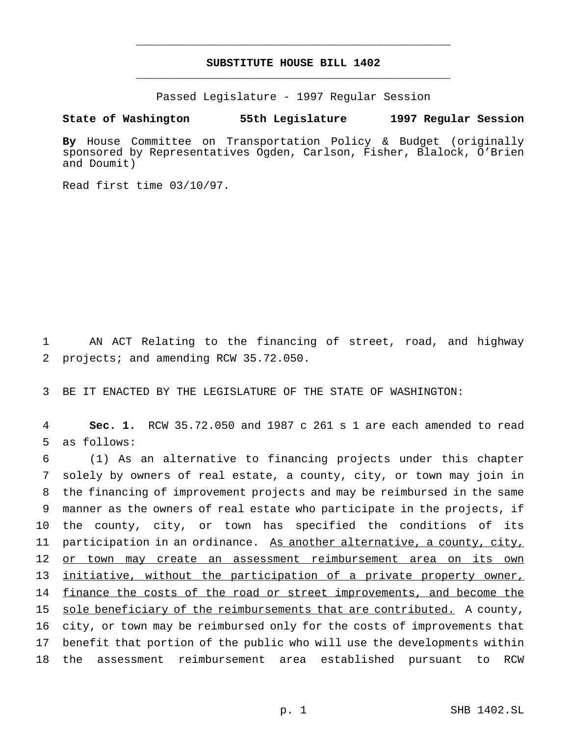# **SUBSTITUTE HOUSE BILL 1402** \_\_\_\_\_\_\_\_\_\_\_\_\_\_\_\_\_\_\_\_\_\_\_\_\_\_\_\_\_\_\_\_\_\_\_\_\_\_\_\_\_\_\_\_\_\_\_

\_\_\_\_\_\_\_\_\_\_\_\_\_\_\_\_\_\_\_\_\_\_\_\_\_\_\_\_\_\_\_\_\_\_\_\_\_\_\_\_\_\_\_\_\_\_\_

Passed Legislature - 1997 Regular Session

#### **State of Washington 55th Legislature 1997 Regular Session**

**By** House Committee on Transportation Policy & Budget (originally sponsored by Representatives Ogden, Carlson, Fisher, Blalock, O'Brien and Doumit)

Read first time 03/10/97.

1 AN ACT Relating to the financing of street, road, and highway 2 projects; and amending RCW 35.72.050.

3 BE IT ENACTED BY THE LEGISLATURE OF THE STATE OF WASHINGTON:

4 **Sec. 1.** RCW 35.72.050 and 1987 c 261 s 1 are each amended to read 5 as follows:

 (1) As an alternative to financing projects under this chapter solely by owners of real estate, a county, city, or town may join in the financing of improvement projects and may be reimbursed in the same manner as the owners of real estate who participate in the projects, if the county, city, or town has specified the conditions of its 11 participation in an ordinance. As another alternative, a county, city, 12 or town may create an assessment reimbursement area on its own initiative, without the participation of a private property owner, 14 finance the costs of the road or street improvements, and become the sole beneficiary of the reimbursements that are contributed. A county, city, or town may be reimbursed only for the costs of improvements that benefit that portion of the public who will use the developments within the assessment reimbursement area established pursuant to RCW